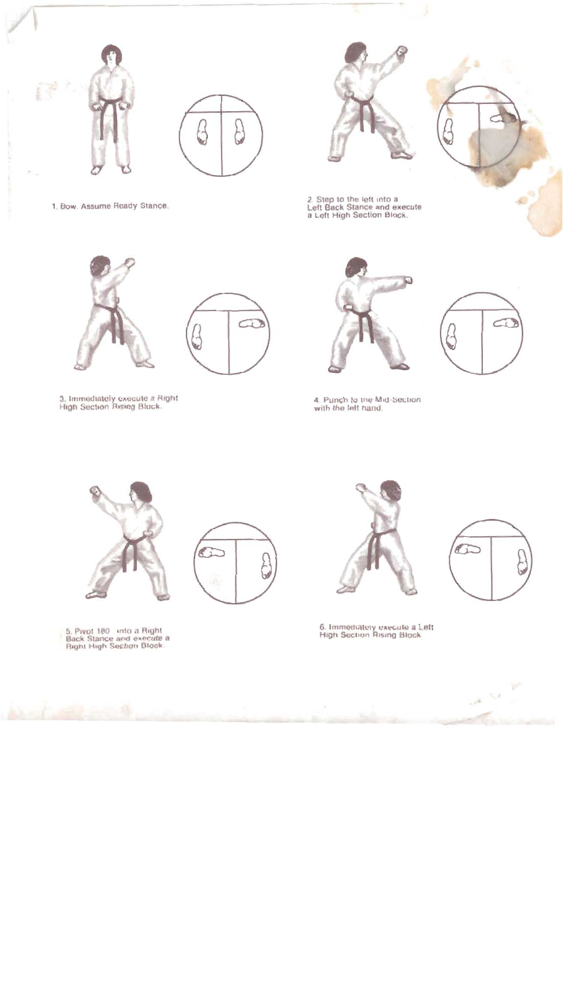





1. Bow. Assume Ready Stance.



3. Immediately execute a Right<br>High Section Rising Block.

2. Step to the left into a<br>Left Back Stance and execute<br>a Left High Section Block.





4. Punch to the Mid-Section<br>with the left hand.



5. Pivot 180 into a Right<br>Back Stance and execute a<br>Right High Section Block.





6. Immediately execute a Left<br>High Section Rising Block.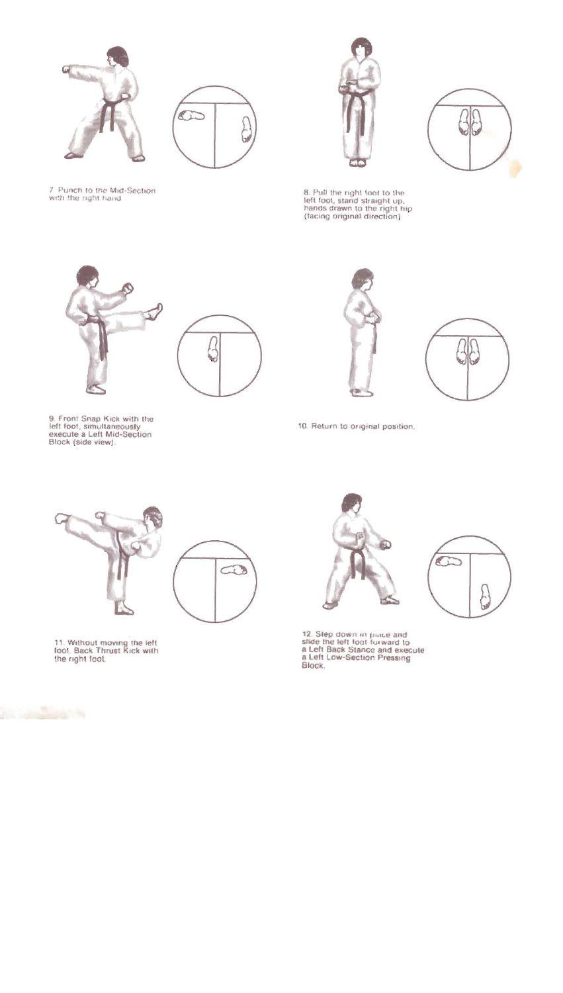





8. Pull the right foot to the<br>left foot, stand straight up,<br>hands drawn to the right hip<br>(facing original direction)



7. Punch to the Mid-Section<br>with the right hand.



9. Front Snap Kick with the<br>left foot, simultaneously<br>execute a Left Mid-Section<br>Block (side view).





10. Return to original position.





11. Without moving the left<br>foot. Back Thrust Kick with<br>the right foot.





12. Step down in piace and<br>slide the left foot forward to<br>a Left Back Stance and execute<br>a Left Low-Section Pressing Block.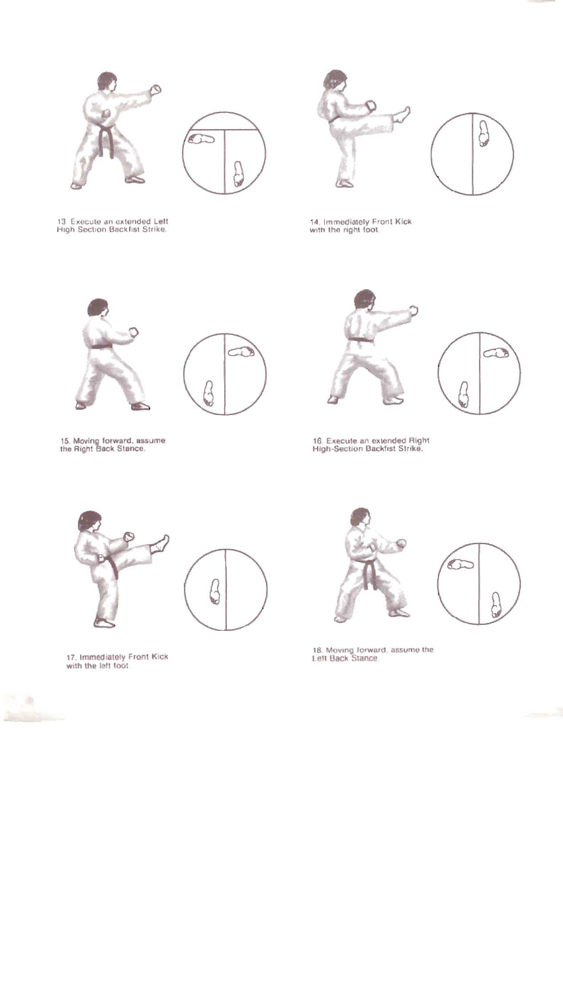







14. Immediately Front Kick<br>with the right foot.





15. Moving forward, assume<br>the Right Back Stance.



16. Execute an extended Right<br>High-Section Backfist Strike.



17. Immediately Front Kick<br>with the left foot

**Allen** 





18. Moving forward, assume the<br>Left Back Stance,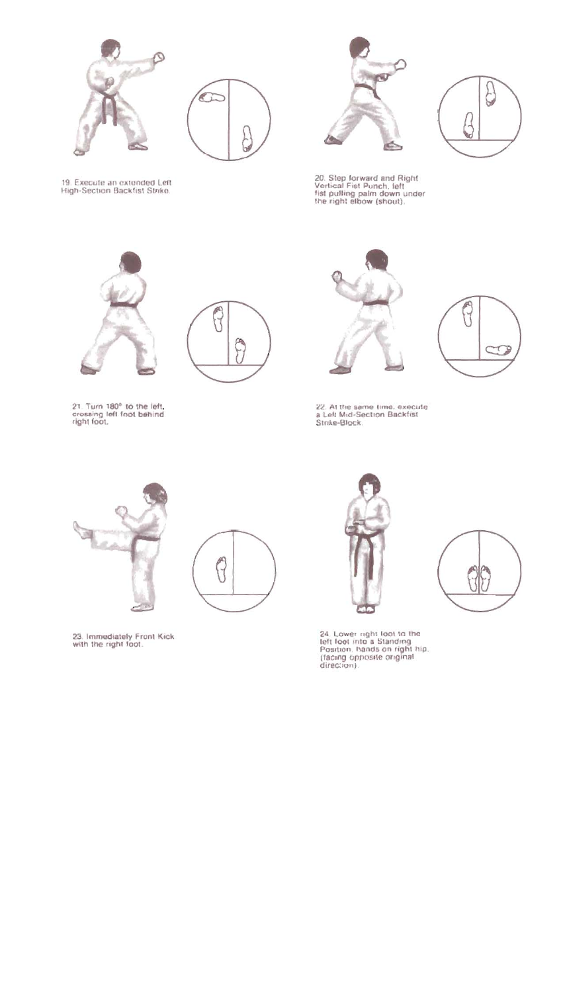





20. Step forward and Right<br>Vertical Fist Punch, felt<br>fist pulling palm down under<br>the right elbow (shout).





21. Turn 180° to the left.<br>crossing left foot behind<br>right foot.



i





22. At the same time, execute<br>a Left Mid-Section Backfist<br>Strike-Block,









24. Lower right loot to the<br>teft foot into a Standing<br>Position, hands on right hip,<br>(facing opposite original<br>direction).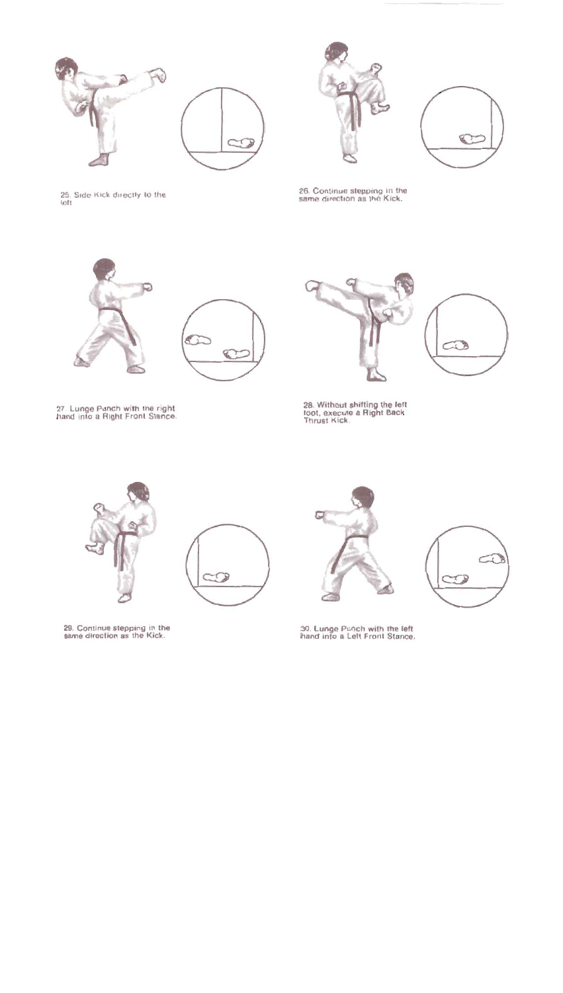





25. Side Kick directly to the

26. Continue stepping in the<br>same direction as the Kick.



27. Lunge Punch with the right<br>hand into a Right Front Stance.



28. Without shifting the left<br>toot, execute a Right Back<br>Thrust Kick.



29. Continue stepping in the<br>same direction as the Kick.



30. Lunge Punch with the left<br>hand into a Left Front Stance.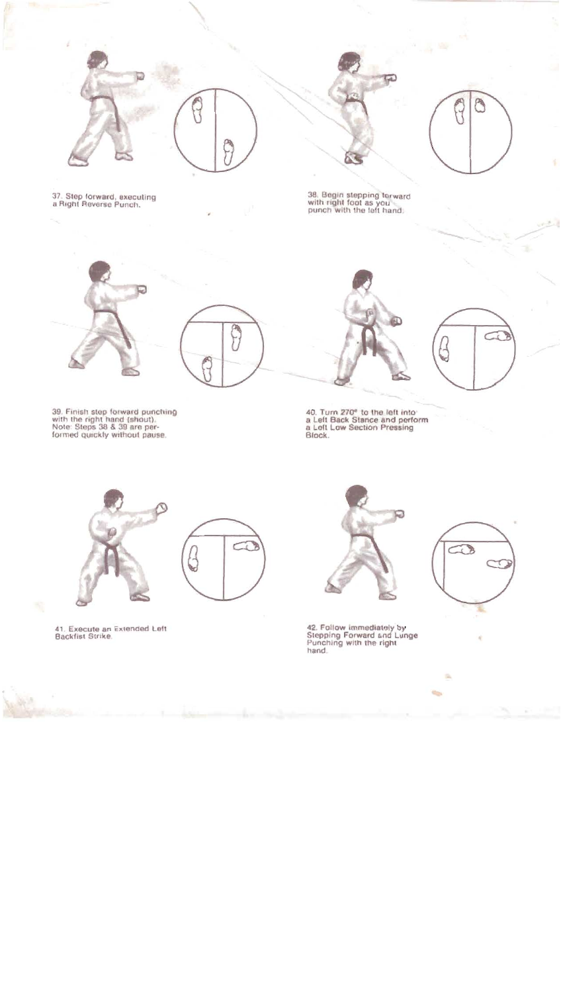





37. Step forward, executing<br>a Right Reverse Punch.



ПĄ

39. Finish step forward punching<br>with the right hand (shout).<br>Note: Steps 38 & 39 are per-<br>formed quickly without pause.

38. Begin stepping torward<br>with right foot as you<br>punch with the left hand.



40. Turn 270° to the left into<br>a Left Back Stance and perform<br>a Left Low Section Pressing<br>Block.



41. Execute an Extended Left<br>Backfist Strike.



42. Follow immediately by<br>Stepping Forward and Lunge<br>Punching with the right hand.



ß,

 $\overline{\phantom{a}}$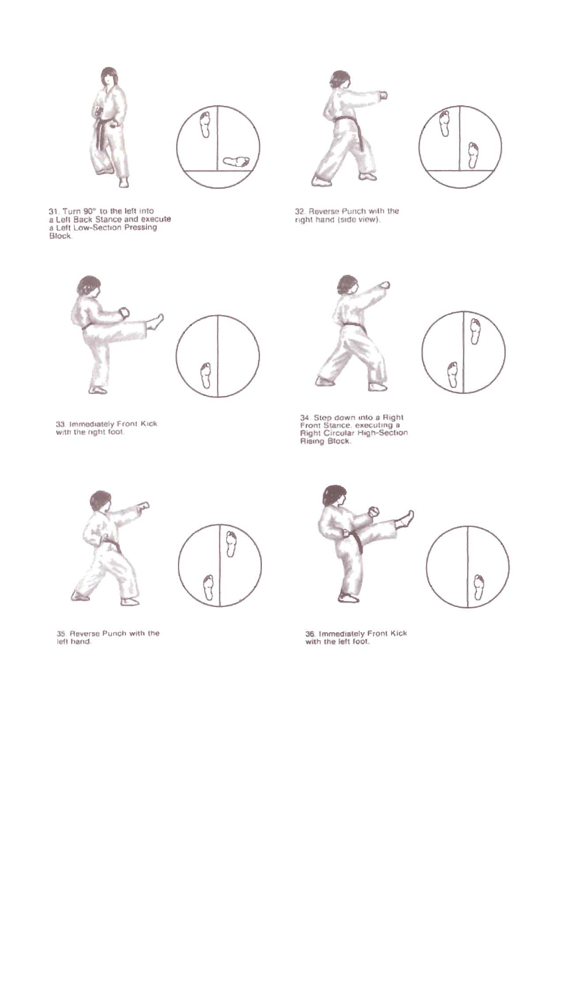





32. Reverse Punch with the<br>right hand (side view).



31. Turn 90° to the left into<br>a Left Back Stance and execute<br>a Left Low-Section Pressing<br>Block.



33. Immediately Front Kick<br>with the right foot.





35. Reverse Punch with the<br>left hand.



 $\mathbb{A}$ b

34. Step down into a Right<br>Front Stance, executing a<br>Right Circular High-Section<br>Rising Block,





36. Immediately Front Kick<br>with the left foot.